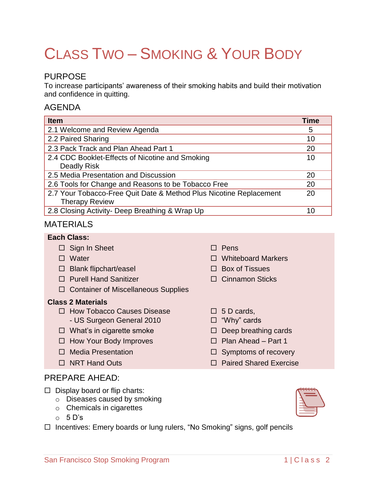# CLASS TWO – SMOKING & YOUR BODY

# PURPOSE

To increase participants' awareness of their smoking habits and build their motivation and confidence in quitting.

## AGENDA

| <b>Item</b>                                                        | Time |
|--------------------------------------------------------------------|------|
| 2.1 Welcome and Review Agenda                                      | 5    |
| 2.2 Paired Sharing                                                 | 10   |
| 2.3 Pack Track and Plan Ahead Part 1                               | 20   |
| 2.4 CDC Booklet-Effects of Nicotine and Smoking                    | 10   |
| Deadly Risk                                                        |      |
| 2.5 Media Presentation and Discussion                              | 20   |
| 2.6 Tools for Change and Reasons to be Tobacco Free                | 20   |
| 2.7 Your Tobacco-Free Quit Date & Method Plus Nicotine Replacement | 20   |
| <b>Therapy Review</b>                                              |      |
| 2.8 Closing Activity- Deep Breathing & Wrap Up                     | 10   |

 $\Box$  5 D cards, □ "Why" cards

## MATERIALS

#### **Each Class:**

- $\Box$  Sign In Sheet  $\Box$  Pens
- Water Whiteboard Markers
- $\Box$  Blank flipchart/easel  $\Box$  Box of Tissues
- □ Purell Hand Sanitizer Cinnamon Sticks
- □ Container of Miscellaneous Supplies

## **Class 2 Materials**

- $\Box$  How Tobacco Causes Disease - US Surgeon General 2010
- $\Box$  What's in cigarette smoke  $\Box$  Deep breathing cards
- $\Box$  How Your Body Improves  $\Box$  Plan Ahead Part 1
- $\Box$  Media Presentation  $\Box$  Symptoms of recovery
- $\Box$  NRT Hand Outs  $\Box$  Paired Shared Exercise

# PREPARE AHEAD:

- $\Box$  Display board or flip charts:
	- o Diseases caused by smoking
	- o Chemicals in cigarettes
	- $O<sub>2</sub> 5 D's$

□ Incentives: Emery boards or lung rulers, "No Smoking" signs, golf pencils

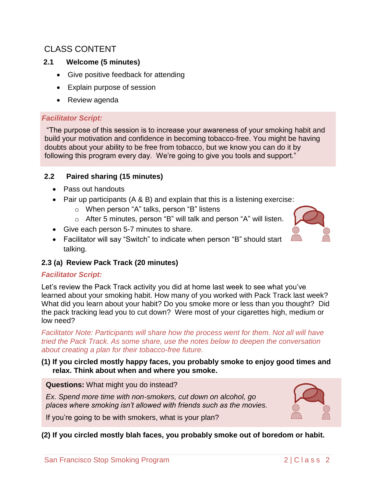# CLASS CONTENT

## **2.1 Welcome (5 minutes)**

- Give positive feedback for attending
- Explain purpose of session
- Review agenda

## *Facilitator Script:*

"The purpose of this session is to increase your awareness of your smoking habit and build your motivation and confidence in becoming tobacco-free. You might be having doubts about your ability to be free from tobacco, but we know you can do it by following this program every day. We're going to give you tools and support."

## **2.2 Paired sharing (15 minutes)**

- Pass out handouts
- Pair up participants  $(A \& B)$  and explain that this is a listening exercise:
	- o When person "A" talks, person "B" listens
	- o After 5 minutes, person "B" will talk and person "A" will listen.
- Give each person 5-7 minutes to share.
- Facilitator will say "Switch" to indicate when person "B" should start talking.

## **2.3 (a) Review Pack Track (20 minutes)**

## *Facilitator Script:*

Let's review the Pack Track activity you did at home last week to see what you've learned about your smoking habit. How many of you worked with Pack Track last week? What did you learn about your habit? Do you smoke more or less than you thought? Did the pack tracking lead you to cut down? Were most of your cigarettes high, medium or low need?

*Facilitator Note: Participants will share how the process went for them. Not all will have tried the Pack Track. As some share, use the notes below to deepen the conversation about creating a plan for their tobacco-free future.* 

#### **(1) If you circled mostly happy faces, you probably smoke to enjoy good times and relax. Think about when and where you smoke.**

**Questions:** What might you do instead?

*Ex. Spend more time with non-smokers, cut down on alcohol, go places where smoking isn't allowed with friends such as the movies.*

If you're going to be with smokers, what is your plan?

**(2) If you circled mostly blah faces, you probably smoke out of boredom or habit.**



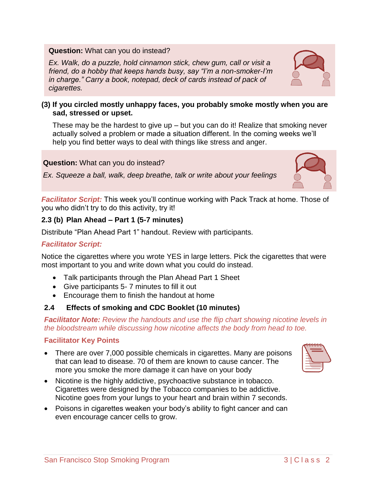#### **Question:** What can you do instead?

*Ex. Walk, do a puzzle, hold cinnamon stick, chew gum, call or visit a friend, do a hobby that keeps hands busy, say "I'm a non-smoker-I'm in charge." Carry a book, notepad, deck of cards instead of pack of cigarettes.*

#### **(3) If you circled mostly unhappy faces, you probably smoke mostly when you are sad, stressed or upset.**

These may be the hardest to give up – but you can do it! Realize that smoking never actually solved a problem or made a situation different. In the coming weeks we'll help you find better ways to deal with things like stress and anger.

#### **Question:** What can you do instead?

*Ex. Squeeze a ball, walk, deep breathe, talk or write about your feelings*

*Facilitator Script:* This week you'll continue working with Pack Track at home. Those of you who didn't try to do this activity, try it!

## **2.3 (b) Plan Ahead – Part 1 (5-7 minutes)**

Distribute "Plan Ahead Part 1" handout. Review with participants.

#### *Facilitator Script:*

Notice the cigarettes where you wrote YES in large letters. Pick the cigarettes that were most important to you and write down what you could do instead.

- Talk participants through the Plan Ahead Part 1 Sheet
- Give participants 5- 7 minutes to fill it out
- Encourage them to finish the handout at home

## **2.4 Effects of smoking and CDC Booklet (10 minutes)**

*Facilitator Note: Review the handouts and use the flip chart showing nicotine levels in the bloodstream while discussing how nicotine affects the body from head to toe.*

#### **Facilitator Key Points**

- There are over 7,000 possible chemicals in cigarettes. Many are poisons that can lead to disease. 70 of them are known to cause cancer. The more you smoke the more damage it can have on your body
- Nicotine is the highly addictive, psychoactive substance in tobacco. Cigarettes were designed by the Tobacco companies to be addictive. Nicotine goes from your lungs to your heart and brain within 7 seconds.
- Poisons in cigarettes weaken your body's ability to fight cancer and can even encourage cancer cells to grow.





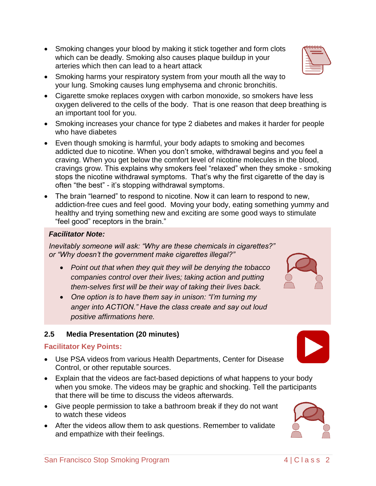- Smoking changes your blood by making it stick together and form clots which can be deadly. Smoking also causes plaque buildup in your arteries which then can lead to a heart attack
- Smoking harms your respiratory system from your mouth all the way to your lung. Smoking causes lung emphysema and chronic bronchitis.
- Cigarette smoke replaces oxygen with carbon monoxide, so smokers have less oxygen delivered to the cells of the body. That is one reason that deep breathing is an important tool for you.
- Smoking increases your chance for type 2 diabetes and makes it harder for people who have diabetes
- Even though smoking is harmful, your body adapts to smoking and becomes addicted due to nicotine. When you don't smoke, withdrawal begins and you feel a craving. When you get below the comfort level of nicotine molecules in the blood, cravings grow. This explains why smokers feel "relaxed" when they smoke - smoking stops the nicotine withdrawal symptoms. That's why the first cigarette of the day is often "the best" - it's stopping withdrawal symptoms.
- The brain "learned" to respond to nicotine. Now it can learn to respond to new, addiction-free cues and feel good. Moving your body, eating something yummy and healthy and trying something new and exciting are some good ways to stimulate "feel good" receptors in the brain."

## *Facilitator Note:*

*Inevitably someone will ask: "Why are these chemicals in cigarettes?" or "Why doesn't the government make cigarettes illegal?"* 

- *Point out that when they quit they will be denying the tobacco companies control over their lives; taking action and putting them-selves first will be their way of taking their lives back.*
- *One option is to have them say in unison: "I'm turning my anger into ACTION." Have the class create and say out loud positive affirmations here.*

## **2.5 Media Presentation (20 minutes)**

## **Facilitator Key Points:**

- Use PSA videos from various Health Departments, Center for Disease Control, or other reputable sources.
- Explain that the videos are fact-based depictions of what happens to your body when you smoke. The videos may be graphic and shocking. Tell the participants that there will be time to discuss the videos afterwards.
- Give people permission to take a bathroom break if they do not want to watch these videos
- After the videos allow them to ask questions. Remember to validate and empathize with their feelings.







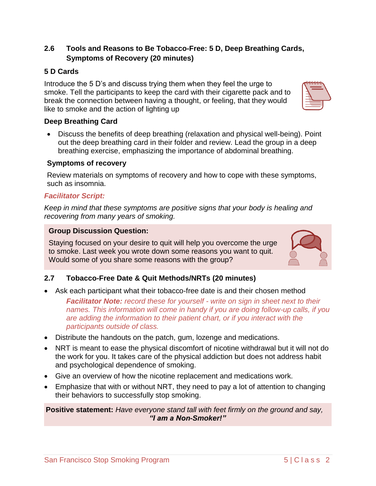## **2.6 Tools and Reasons to Be Tobacco-Free: 5 D, Deep Breathing Cards, Symptoms of Recovery (20 minutes)**

### **5 D Cards**

Introduce the 5 D's and discuss trying them when they feel the urge to smoke. Tell the participants to keep the card with their cigarette pack and to break the connection between having a thought, or feeling, that they would like to smoke and the action of lighting up

#### **Deep Breathing Card**

 Discuss the benefits of deep breathing (relaxation and physical well-being). Point out the deep breathing card in their folder and review. Lead the group in a deep breathing exercise, emphasizing the importance of abdominal breathing.

#### **Symptoms of recovery**

Review materials on symptoms of recovery and how to cope with these symptoms, such as insomnia.

#### *Facilitator Script:*

*Keep in mind that these symptoms are positive signs that your body is healing and recovering from many years of smoking.*

#### **Group Discussion Question:**

Staying focused on your desire to quit will help you overcome the urge to smoke. Last week you wrote down some reasons you want to quit. Would some of you share some reasons with the group?

## **2.7 Tobacco-Free Date & Quit Methods/NRTs (20 minutes)**

Ask each participant what their tobacco-free date is and their chosen method

*Facilitator Note: record these for yourself - write on sign in sheet next to their names. This information will come in handy if you are doing follow-up calls, if you are adding the information to their patient chart, or if you interact with the participants outside of class.* 

- Distribute the handouts on the patch, gum, lozenge and medications.
- NRT is meant to ease the physical discomfort of nicotine withdrawal but it will not do the work for you. It takes care of the physical addiction but does not address habit and psychological dependence of smoking.
- Give an overview of how the nicotine replacement and medications work.
- Emphasize that with or without NRT, they need to pay a lot of attention to changing their behaviors to successfully stop smoking.

**Positive statement:** *Have everyone stand tall with feet firmly on the ground and say, "I am a Non-Smoker!"*